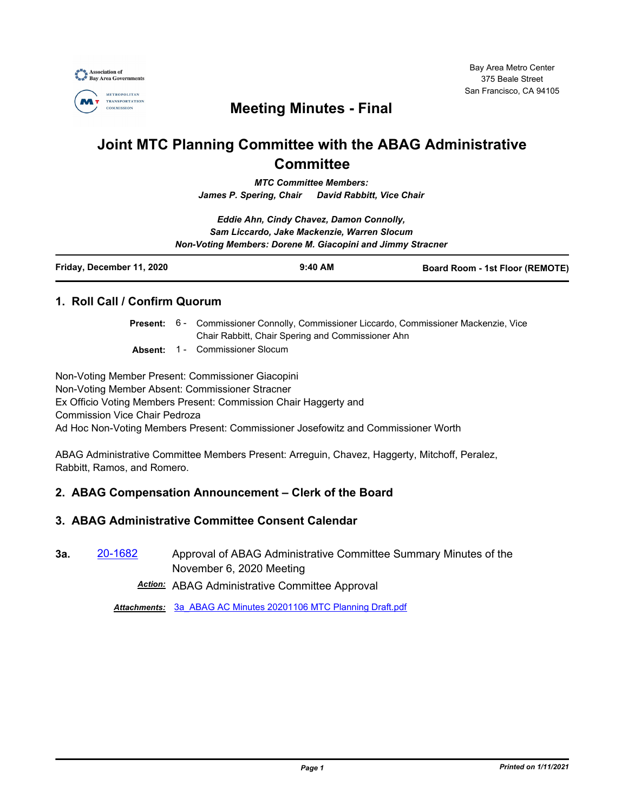

## **Meeting Minutes - Final**

# **Joint MTC Planning Committee with the ABAG Administrative Committee**

*MTC Committee Members: James P. Spering, Chair David Rabbitt, Vice Chair*

*Eddie Ahn, Cindy Chavez, Damon Connolly, Sam Liccardo, Jake Mackenzie, Warren Slocum Non-Voting Members: Dorene M. Giacopini and Jimmy Stracner*

| Friday, December 11, 2020 | $9:40$ AM | <b>Board Room - 1st Floor (REMOTE)</b> |
|---------------------------|-----------|----------------------------------------|
|                           |           |                                        |

## **1. Roll Call / Confirm Quorum**

Present: 6 - Commissioner Connolly, Commissioner Liccardo, Commissioner Mackenzie, Vice Chair Rabbitt, Chair Spering and Commissioner Ahn

**Absent:** 1 - Commissioner Slocum

Non-Voting Member Present: Commissioner Giacopini Non-Voting Member Absent: Commissioner Stracner Ex Officio Voting Members Present: Commission Chair Haggerty and Commission Vice Chair Pedroza Ad Hoc Non-Voting Members Present: Commissioner Josefowitz and Commissioner Worth

ABAG Administrative Committee Members Present: Arreguin, Chavez, Haggerty, Mitchoff, Peralez, Rabbitt, Ramos, and Romero.

## **2. ABAG Compensation Announcement – Clerk of the Board**

## **3. ABAG Administrative Committee Consent Calendar**

**3a.** [20-1682](http://mtc.legistar.com/gateway.aspx?m=l&id=/matter.aspx?key=21547) Approval of ABAG Administrative Committee Summary Minutes of the November 6, 2020 Meeting

*Action:* ABAG Administrative Committee Approval

*Attachments:* [3a\\_ABAG AC Minutes 20201106 MTC Planning Draft.pdf](http://mtc.legistar.com/gateway.aspx?M=F&ID=2e084e43-786c-403c-8134-dd84d06736c1.pdf)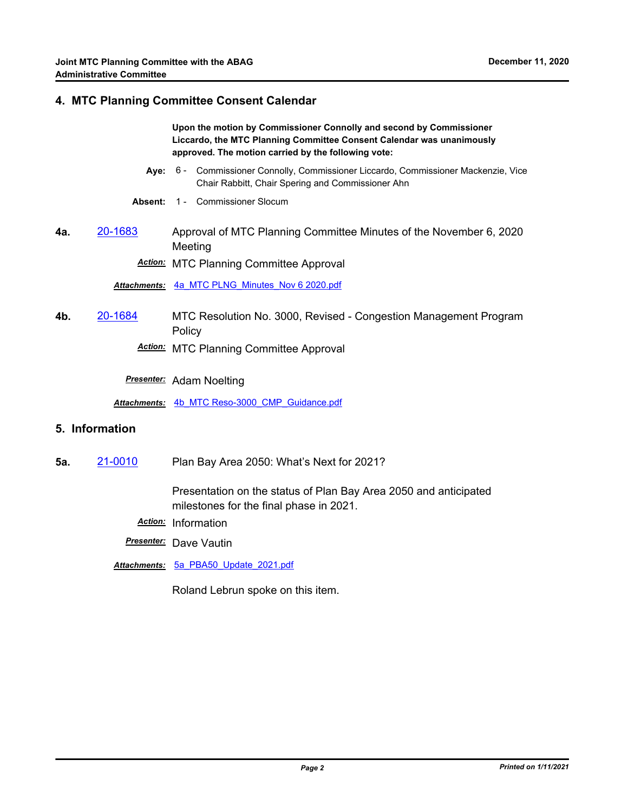#### **4. MTC Planning Committee Consent Calendar**

**Upon the motion by Commissioner Connolly and second by Commissioner Liccardo, the MTC Planning Committee Consent Calendar was unanimously approved. The motion carried by the following vote:**

- Aye: 6 Commissioner Connolly, Commissioner Liccardo, Commissioner Mackenzie, Vice Chair Rabbitt, Chair Spering and Commissioner Ahn
- **Absent:** 1 Commissioner Slocum
- **4a.** [20-1683](http://mtc.legistar.com/gateway.aspx?m=l&id=/matter.aspx?key=21548) Approval of MTC Planning Committee Minutes of the November 6, 2020 Meeting

*Action:* MTC Planning Committee Approval

*Attachments:* [4a\\_MTC PLNG\\_Minutes\\_Nov 6 2020.pdf](http://mtc.legistar.com/gateway.aspx?M=F&ID=7b9aa1e1-abdf-45c7-8c07-4605927e9146.pdf)

**4b.** [20-1684](http://mtc.legistar.com/gateway.aspx?m=l&id=/matter.aspx?key=21549) MTC Resolution No. 3000, Revised - Congestion Management Program Policy

*Action:* MTC Planning Committee Approval

*Presenter:* Adam Noelting

*Attachments:* [4b\\_MTC Reso-3000\\_CMP\\_Guidance.pdf](http://mtc.legistar.com/gateway.aspx?M=F&ID=e1d8a6a9-039f-481d-8234-416dbf47d137.pdf)

## **5. Information**

**5a.** [21-0010](http://mtc.legistar.com/gateway.aspx?m=l&id=/matter.aspx?key=21603) Plan Bay Area 2050: What's Next for 2021?

Presentation on the status of Plan Bay Area 2050 and anticipated milestones for the final phase in 2021.

- *Action:* Information
- *Presenter:* Dave Vautin

*Attachments:* [5a\\_PBA50\\_Update\\_2021.pdf](http://mtc.legistar.com/gateway.aspx?M=F&ID=0abcf7af-8270-4310-bf44-af24c8bdca5e.pdf)

Roland Lebrun spoke on this item.